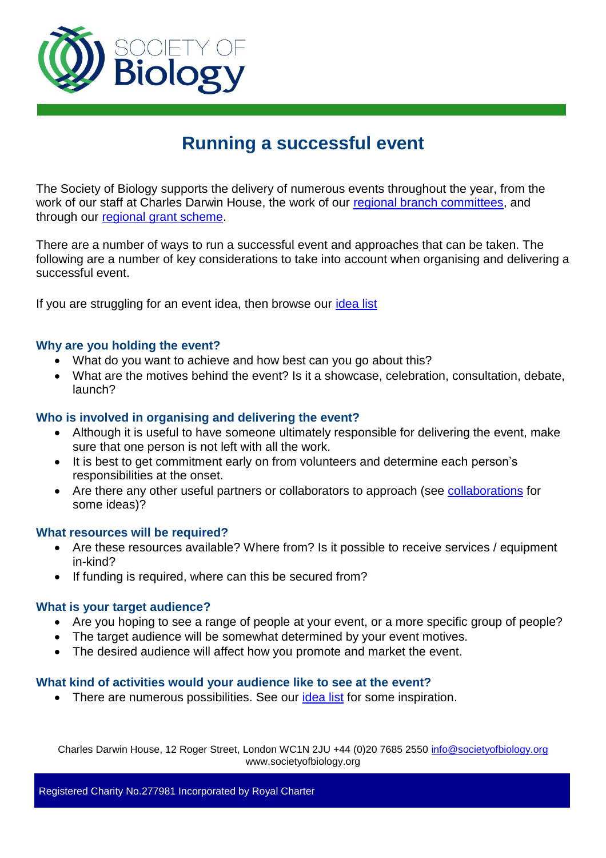

# **Running a successful event**

The Society of Biology supports the delivery of numerous events throughout the year, from the work of our staff at Charles Darwin House, the work of our [regional branch committees,](https://www.societyofbiology.org/regional-activity) and through our [regional grant scheme.](https://www.societyofbiology.org/get-involved/grants/regional-grant-scheme)

There are a number of ways to run a successful event and approaches that can be taken. The following are a number of key considerations to take into account when organising and delivering a successful event.

If you are struggling for an event idea, then browse our [idea list](#page-1-0)

#### **Why are you holding the event?**

- What do you want to achieve and how best can you go about this?
- What are the motives behind the event? Is it a showcase, celebration, consultation, debate, launch?

## **Who is involved in organising and delivering the event?**

- Although it is useful to have someone ultimately responsible for delivering the event, make sure that one person is not left with all the work.
- It is best to get commitment early on from volunteers and determine each person's responsibilities at the onset.
- Are there any other useful partners or collaborators to approach (see [collaborations](#page-1-0) for some ideas)?

#### **What resources will be required?**

- Are these resources available? Where from? Is it possible to receive services / equipment in-kind?
- If funding is required, where can this be secured from?

## **What is your target audience?**

- Are you hoping to see a range of people at your event, or a more specific group of people?
- The target audience will be somewhat determined by your event motives.
- The desired audience will affect how you promote and market the event.

#### **What kind of activities would your audience like to see at the event?**

• There are numerous possibilities. See our *idea list* for some inspiration.

Charles Darwin House, 12 Roger Street, London WC1N 2JU +44 (0)20 7685 2550 info@societyofbiology.org www.societyofbiology.org

Registered Charity No.277981 Incorporated by Royal Charter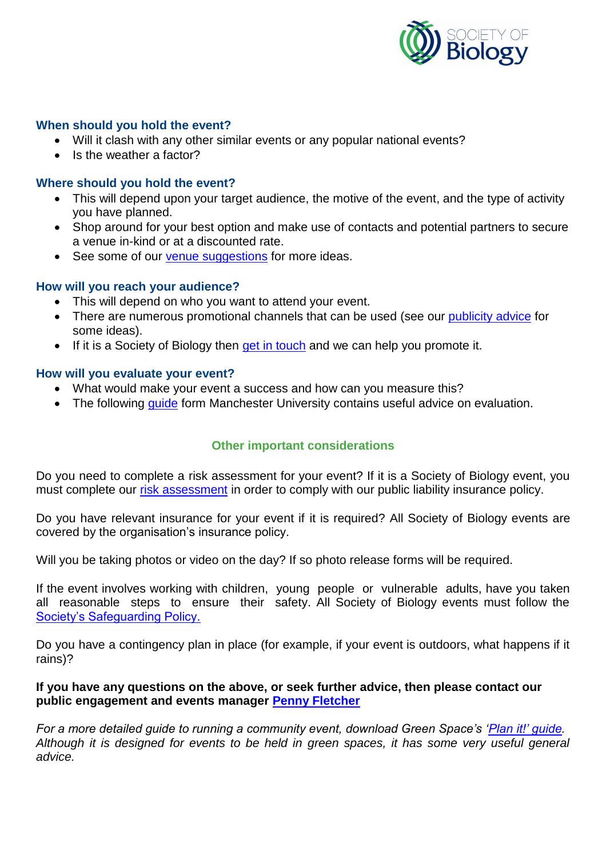

#### **When should you hold the event?**

- Will it clash with any other similar events or any popular national events?
- Is the weather a factor?

## **Where should you hold the event?**

- This will depend upon your target audience, the motive of the event, and the type of activity you have planned.
- Shop around for your best option and make use of contacts and potential partners to secure a venue in-kind or at a discounted rate.
- See some of our [venue suggestions](#page-7-0) for more ideas.

## **How will you reach your audience?**

- This will depend on who you want to attend your event.
- There are numerous promotional channels that can be used (see our [publicity advice](#page-8-0) for some ideas).
- If it is a Society of Biology then [get in touch](mailto:davidurry@societyofbiology.org) and we can help you promote it.

#### **How will you evaluate your event?**

- What would make your event a success and how can you measure this?
- The following quide form Manchester University contains useful advice on evaluation.

## **Other important considerations**

Do you need to complete a risk assessment for your event? If it is a Society of Biology event, you must complete our [risk assessment](https://www.societyofbiology.org/images/branch/SB_Risk_Assessment.pdf) in order to comply with our public liability insurance policy.

Do you have relevant insurance for your event if it is required? All Society of Biology events are covered by the organisation's insurance policy.

Will you be taking photos or video on the day? If so photo release forms will be required.

If the event involves working with children, young people or vulnerable adults, have you taken all reasonable steps to ensure their safety. All Society of Biology events must follow the [Society's Safeguarding Policy.](https://www.societyofbiology.org/images/branch/safeguarding_children_policy.pdf)

Do you have a contingency plan in place (for example, if your event is outdoors, what happens if it rains)?

## **If you have any questions on the above, or seek further advice, then please contact our public engagement and events manager [Penny Fletcher](mailto:pennyfletcher@societyofbiology.org)**

<span id="page-1-0"></span>For a more detailed guide to running a community event, download Green Space's 'Plan it!' quide. *Although it is designed for events to be held in green spaces, it has some very useful general advice.*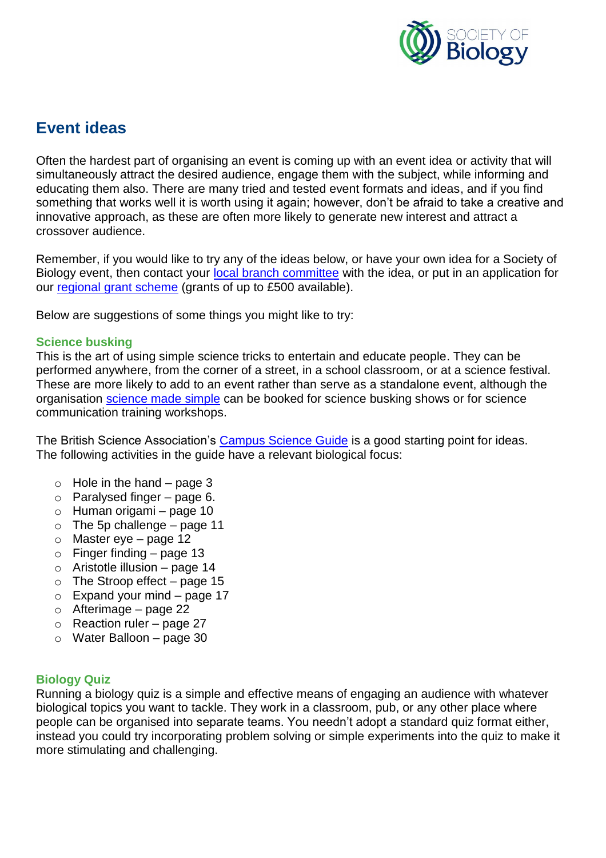

## **Event ideas**

Often the hardest part of organising an event is coming up with an event idea or activity that will simultaneously attract the desired audience, engage them with the subject, while informing and educating them also. There are many tried and tested event formats and ideas, and if you find something that works well it is worth using it again; however, don't be afraid to take a creative and innovative approach, as these are often more likely to generate new interest and attract a crossover audience.

Remember, if you would like to try any of the ideas below, or have your own idea for a Society of Biology event, then contact your [local branch committee](https://www.societyofbiology.org/regional-activity) with the idea, or put in an application for our [regional grant scheme](https://www.societyofbiology.org/get-involved/grants/regional-grant-scheme) (grants of up to £500 available).

Below are suggestions of some things you might like to try:

## **Science busking**

This is the art of using simple science tricks to entertain and educate people. They can be performed anywhere, from the corner of a street, in a school classroom, or at a science festival. These are more likely to add to an event rather than serve as a standalone event, although the organisation [science made simple](http://www.sciencemadesimple.co.uk/) can be booked for science busking shows or for science communication training workshops.

The British Science Association's [Campus Science Guide](http://www.britishscienceassociation.org/national-science-engineering-week/campus-science) is a good starting point for ideas. The following activities in the guide have a relevant biological focus:

- $\circ$  Hole in the hand page 3
- $\circ$  Paralysed finger page 6.
- o Human origami page 10
- $\circ$  The 5p challenge page 11
- $\circ$  Master eye page 12
- $\circ$  Finger finding page 13
- $\circ$  Aristotle illusion page 14
- $\circ$  The Stroop effect page 15
- $\circ$  Expand your mind page 17
- $\circ$  Afterimage page 22
- o Reaction ruler page 27
- $\circ$  Water Balloon page 30

## **Biology Quiz**

Running a biology quiz is a simple and effective means of engaging an audience with whatever biological topics you want to tackle. They work in a classroom, pub, or any other place where people can be organised into separate teams. You needn't adopt a standard quiz format either, instead you could try incorporating problem solving or simple experiments into the quiz to make it more stimulating and challenging.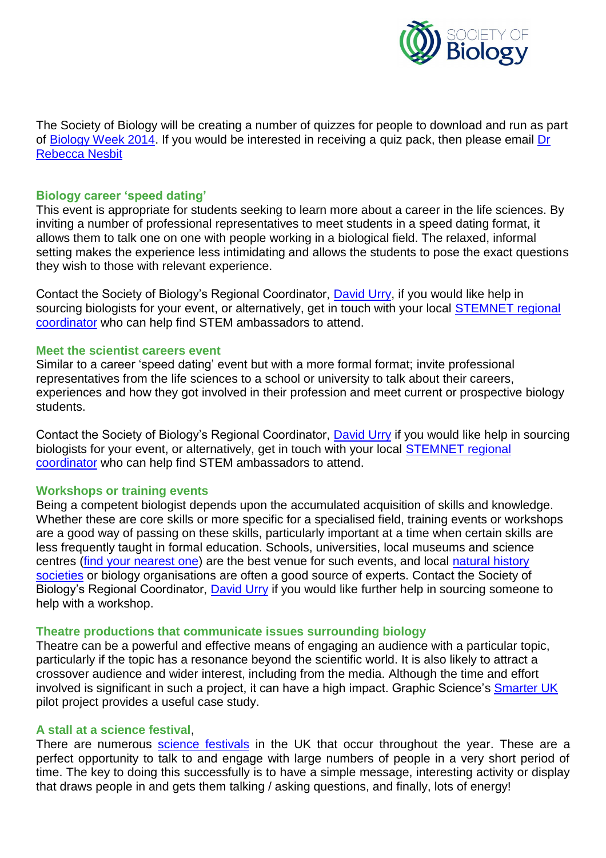

The Society of Biology will be creating a number of quizzes for people to download and run as part of [Biology Week 2014.](https://www.societyofbiology.org/get-involved/biologyweek) If you would be interested in receiving a quiz pack, then please email [Dr](mailto:rebeccanesbit@societyofbiology.org)  [Rebecca Nesbit](mailto:rebeccanesbit@societyofbiology.org)

#### **Biology career 'speed dating'**

This event is appropriate for students seeking to learn more about a career in the life sciences. By inviting a number of professional representatives to meet students in a speed dating format, it allows them to talk one on one with people working in a biological field. The relaxed, informal setting makes the experience less intimidating and allows the students to pose the exact questions they wish to those with relevant experience.

Contact the Society of Biology's Regional Coordinator, [David Urry,](http://www.stemnet.org.uk/regions/) if you would like help in sourcing biologists for your event, or alternatively, get in touch with your local [STEMNET](http://www.stemnet.org.uk/regions/) regional [coordinator](http://www.stemnet.org.uk/regions/) who can help find STEM ambassadors to attend.

#### **Meet the scientist careers event**

Similar to a career 'speed dating' event but with a more formal format; invite professional representatives from the life sciences to a school or university to talk about their careers, experiences and how they got involved in their profession and meet current or prospective biology students.

Contact the Society of Biology's Regional Coordinator, **David Urry** if you would like help in sourcing biologists for your event, or alternatively, get in touch with your local **STEMNET** regional [coordinator](http://www.stemnet.org.uk/regions/) who can help find STEM ambassadors to attend.

#### **Workshops or training events**

Being a competent biologist depends upon the accumulated acquisition of skills and knowledge. Whether these are core skills or more specific for a specialised field, training events or workshops are a good way of passing on these skills, particularly important at a time when certain skills are less frequently taught in formal education. Schools, universities, local museums and science centres [\(find your nearest one\)](http://sciencecentres.org.uk/centres/) are the best venue for such events, and local [natural history](http://www.nhm.ac.uk/nature-online/british-natural-history/naturegroups/naturegroups?name_or_description=)  [societies](http://www.nhm.ac.uk/nature-online/british-natural-history/naturegroups/naturegroups?name_or_description=) or biology organisations are often a good source of experts. Contact the Society of Biology's Regional Coordinator, **David Urry** if you would like further help in sourcing someone to help with a workshop.

#### **Theatre productions that communicate issues surrounding biology**

Theatre can be a powerful and effective means of engaging an audience with a particular topic, particularly if the topic has a resonance beyond the scientific world. It is also likely to attract a crossover audience and wider interest, including from the media. Although the time and effort involved is significant in such a project, it can have a high impact. Graphic Science's [Smarter UK](http://collectivememory.britishscienceassociation.org/memory/smarter-pilot/) pilot project provides a useful case study.

#### **A stall at a science festival**,

There are numerous [science festivals](http://www.britishscienceassociation.org/british-science-association/science-festivals-around-uk) in the UK that occur throughout the year. These are a perfect opportunity to talk to and engage with large numbers of people in a very short period of time. The key to doing this successfully is to have a simple message, interesting activity or display that draws people in and gets them talking / asking questions, and finally, lots of energy!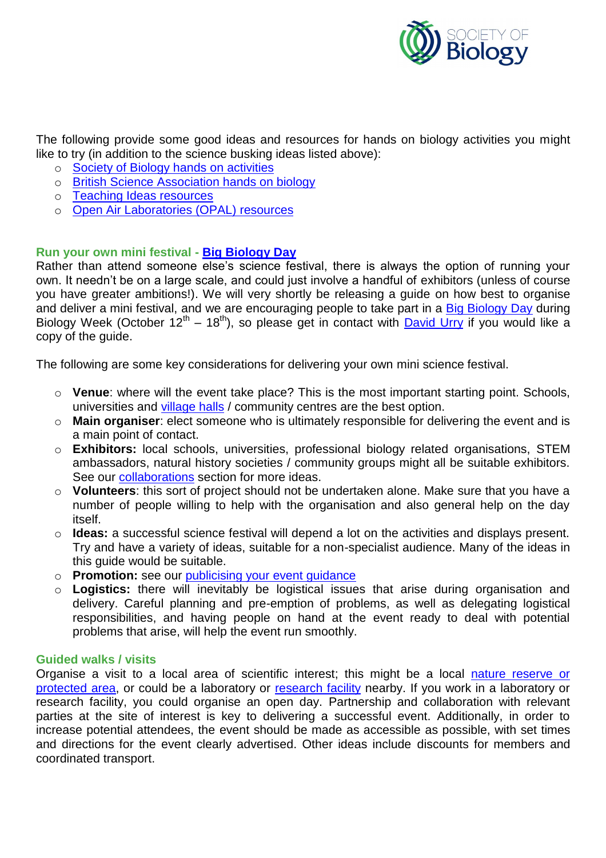

The following provide some good ideas and resources for hands on biology activities you might like to try (in addition to the science busking ideas listed above):

- o [Society of Biology hands on a](https://www.societyofbiology.org/get-involved/science-in-action/resources)ctivities
- o [British Science Association hands on biology](http://www.britishscienceassociation.org/national-science-engineering-week/download-activities-competitions-and-quizzes/activity-packs)
- o [Teaching Ideas resources](http://www.teachingideas.co.uk/science/contents_humans.htm)
- o [Open Air Laboratories \(OPAL\)](http://www.opalexplorenature.org/resources) resources

## **Run your own mini festival - [Big Biology Day](https://www.societyofbiology.org/news/14-news/717-big-biology-day-is-a-big-success)**

Rather than attend someone else's science festival, there is always the option of running your own. It needn't be on a large scale, and could just involve a handful of exhibitors (unless of course you have greater ambitions!). We will very shortly be releasing a guide on how best to organise and deliver a mini festival, and we are encouraging people to take part in a [Big Biology Day](https://www.societyofbiology.org/news/14-news/717-big-biology-day-is-a-big-success) during Biology Week (October 12<sup>th</sup> – 18<sup>th</sup>), so please get in contact with **David Urry** if you would like a copy of the guide.

The following are some key considerations for delivering your own mini science festival.

- o **Venue**: where will the event take place? This is the most important starting point. Schools, universities and [village halls](http://www.hallshire.com/) / community centres are the best option.
- o **Main organiser**: elect someone who is ultimately responsible for delivering the event and is a main point of contact.
- o **Exhibitors:** local schools, universities, professional biology related organisations, STEM ambassadors, natural history societies / community groups might all be suitable exhibitors. See our [collaborations](#page-5-0) section for more ideas.
- o **Volunteers**: this sort of project should not be undertaken alone. Make sure that you have a number of people willing to help with the organisation and also general help on the day itself.
- o **Ideas:** a successful science festival will depend a lot on the activities and displays present. Try and have a variety of ideas, suitable for a non-specialist audience. Many of the ideas in this guide would be suitable.
- o **Promotion:** see our [publicising your event guidance](#page-8-0)
- o **Logistics:** there will inevitably be logistical issues that arise during organisation and delivery. Careful planning and pre-emption of problems, as well as delegating logistical responsibilities, and having people on hand at the event ready to deal with potential problems that arise, will help the event run smoothly.

## **Guided walks / visits**

Organise a visit to a local area of scientific interest; this might be a local [nature reserve or](http://magic.defra.gov.uk/MagicMap.aspx?layers=Designations,9,10&box=-288417:46530:777997:746530)  [protected area,](http://magic.defra.gov.uk/MagicMap.aspx?layers=Designations,9,10&box=-288417:46530:777997:746530) or could be a laboratory or [research facility](http://www.bbsrc.ac.uk/organisation/institutes/institutes-of-bbsrc/institutes-of-bbsrc-index.aspx) nearby. If you work in a laboratory or research facility, you could organise an open day. Partnership and collaboration with relevant parties at the site of interest is key to delivering a successful event. Additionally, in order to increase potential attendees, the event should be made as accessible as possible, with set times and directions for the event clearly advertised. Other ideas include discounts for members and coordinated transport.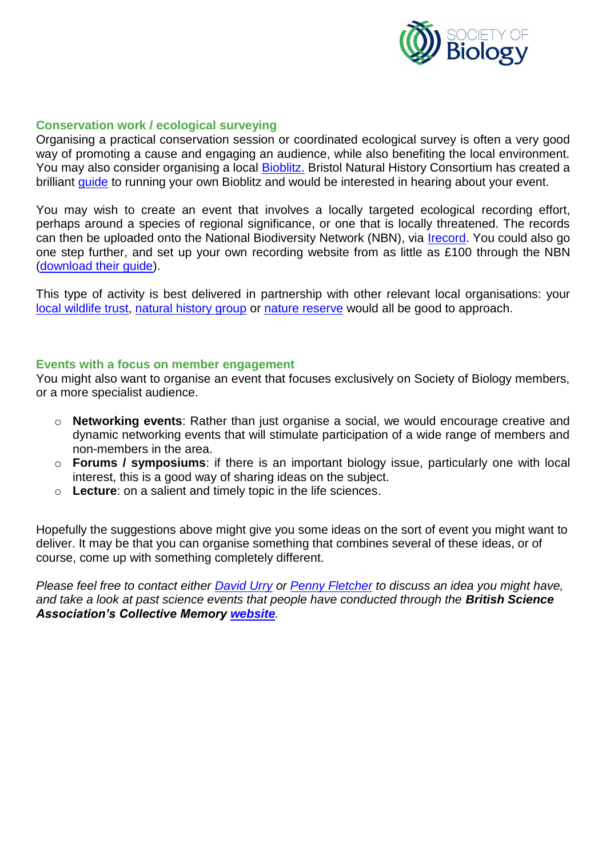

#### **Conservation work / ecological surveying**

Organising a practical conservation session or coordinated ecological survey is often a very good way of promoting a cause and engaging an audience, while also benefiting the local environment. You may also consider organising a local [Bioblitz.](http://www.bnhc.org.uk/home/bioblitz/) Bristol Natural History Consortium has created a brilliant [guide](http://www.bnhc.org.uk/home/bioblitz/run-your-own/bioblitzresources.html) to running your own Bioblitz and would be interested in hearing about your event.

You may wish to create an event that involves a locally targeted ecological recording effort, perhaps around a species of regional significance, or one that is locally threatened. The records can then be uploaded onto the National Biodiversity Network (NBN), via *Irecord*. You could also go one step further, and set up your own recording website from as little as £100 through the NBN [\(download their guide\)](http://www.nbn.org.uk/nbn_wide/media/Documents/Publications/NBN-62-I-want-to-set-up-a-Biological-Recording-website.pdf).

This type of activity is best delivered in partnership with other relevant local organisations: your [local wildlife trust,](http://www.wildlifetrusts.org/map) [natural history group](http://www.nhm.ac.uk/nature-online/british-natural-history/naturegroups/naturegroups?name_or_description=) or [nature reserve](http://www.naturalengland.org.uk/ourwork/enjoying/places/nnr/default.aspx) would all be good to approach.

#### **Events with a focus on member engagement**

You might also want to organise an event that focuses exclusively on Society of Biology members, or a more specialist audience.

- o **Networking events**: Rather than just organise a social, we would encourage creative and dynamic networking events that will stimulate participation of a wide range of members and non-members in the area.
- o **Forums / symposiums**: if there is an important biology issue, particularly one with local interest, this is a good way of sharing ideas on the subject.
- o **Lecture**: on a salient and timely topic in the life sciences.

Hopefully the suggestions above might give you some ideas on the sort of event you might want to deliver. It may be that you can organise something that combines several of these ideas, or of course, come up with something completely different.

<span id="page-5-0"></span>*Please feel free to contact either [David Urry](mailto:davidurry@societyofbiology.org) or [Penny Fletcher](mailto:pennyfletcher@societyofbiology.org) to discuss an idea you might have, and take a look at past science events that people have conducted through the British Science Association's Collective Memory [website](http://collectivememory.britishscienceassociation.org/memory/smarter-pilot/).*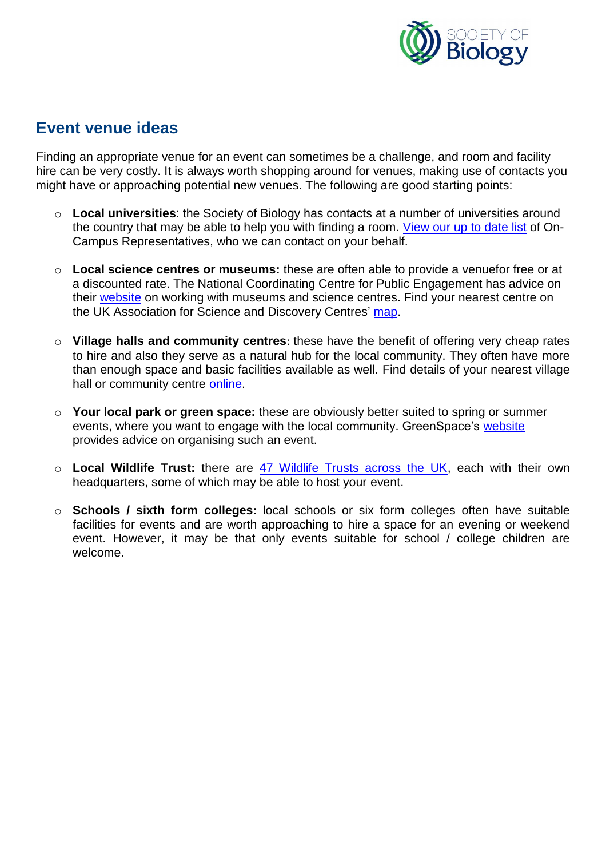

## **Event venue ideas**

Finding an appropriate venue for an event can sometimes be a challenge, and room and facility hire can be very costly. It is always worth shopping around for venues, making use of contacts you might have or approaching potential new venues. The following are good starting points:

- o **Local universities**: the Society of Biology has contacts at a number of universities around the country that may be able to help you with finding a room. [View our up to date list](https://www.societyofbiology.org/images/pdf/On-campus_reps_Jan_2014.pdf) of On-Campus Representatives, who we can contact on your behalf.
- o **Local science centres or museums:** these are often able to provide a venuefor free or at a discounted rate. The National Coordinating Centre for Public Engagement has advice on their [website](https://www.publicengagement.ac.uk/how/guides/science-and-discovery-centres) on working with museums and science centres. Find your nearest centre on the UK Association for Science and Discovery Centres' [map.](http://sciencecentres.org.uk/centres/)
- o **Village halls and community centres**: these have the benefit of offering very cheap rates to hire and also they serve as a natural hub for the local community. They often have more than enough space and basic facilities available as well. Find details of your nearest village hall or community centre [online.](http://www.hallshire.com/)
- o **Your local park or green space:** these are obviously better suited to spring or summer events, where you want to engage with the local community. GreenSpace's [website](http://www.green-space.org.uk/community/communityresources/events/index.php) provides advice on organising such an event.
- o **Local Wildlife Trust:** there are [47 Wildlife Trusts across the UK,](http://www.wildlifetrusts.org/your-local-trust) each with their own headquarters, some of which may be able to host your event.
- o **Schools / sixth form colleges:** local schools or six form colleges often have suitable facilities for events and are worth approaching to hire a space for an evening or weekend event. However, it may be that only events suitable for school / college children are welcome.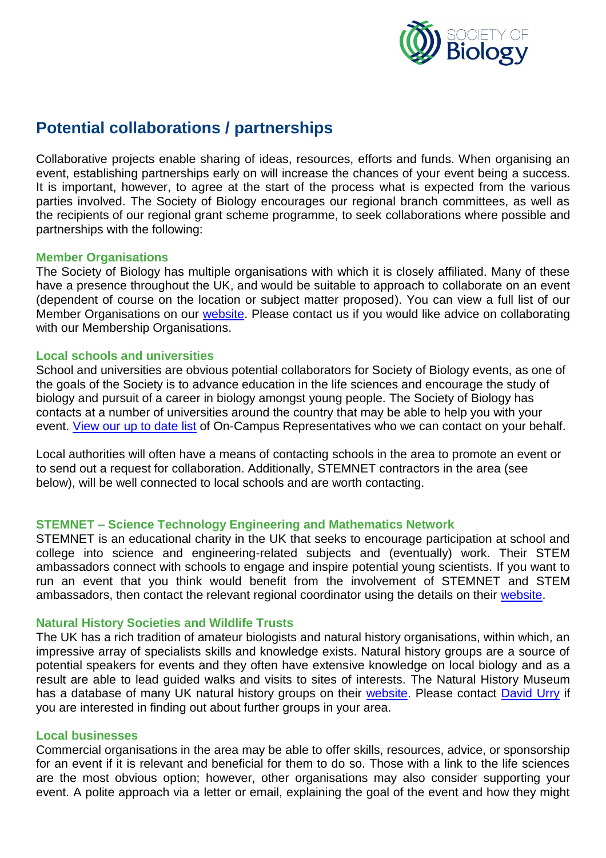

## **Potential collaborations / partnerships**

<span id="page-7-0"></span>Collaborative projects enable sharing of ideas, resources, efforts and funds. When organising an event, establishing partnerships early on will increase the chances of your event being a success. It is important, however, to agree at the start of the process what is expected from the various parties involved. The Society of Biology encourages our regional branch committees, as well as the recipients of our regional grant scheme programme, to seek collaborations where possible and partnerships with the following:

#### **Member Organisations**

The Society of Biology has multiple organisations with which it is closely affiliated. Many of these have a presence throughout the UK, and would be suitable to approach to collaborate on an event (dependent of course on the location or subject matter proposed). You can view a full list of our Member Organisations on our [website.](https://www.societyofbiology.org/membership/organisational-membership) Please contact us if you would like advice on collaborating with our Membership Organisations.

#### **Local schools and universities**

School and universities are obvious potential collaborators for Society of Biology events, as one of the goals of the Society is to advance education in the life sciences and encourage the study of biology and pursuit of a career in biology amongst young people. The Society of Biology has contacts at a number of universities around the country that may be able to help you with your event. [View our up to date list](https://www.societyofbiology.org/images/pdf/On-campus_reps_Jan_2014.pdf) of On-Campus Representatives who we can contact on your behalf.

Local authorities will often have a means of contacting schools in the area to promote an event or to send out a request for collaboration. Additionally, STEMNET contractors in the area (see below), will be well connected to local schools and are worth contacting.

## **STEMNET – Science Technology Engineering and Mathematics Network**

STEMNET is an educational charity in the UK that seeks to encourage participation at school and college into science and engineering-related subjects and (eventually) work. Their STEM ambassadors connect with schools to engage and inspire potential young scientists. If you want to run an event that you think would benefit from the involvement of STEMNET and STEM ambassadors, then contact the relevant regional coordinator using the details on their [website.](http://www.stemnet.org.uk/regions/)

#### **Natural History Societies and Wildlife Trusts**

The UK has a rich tradition of amateur biologists and natural history organisations, within which, an impressive array of specialists skills and knowledge exists. Natural history groups are a source of potential speakers for events and they often have extensive knowledge on local biology and as a result are able to lead guided walks and visits to sites of interests. The Natural History Museum has a database of many UK natural history groups on their [website.](http://www.nhm.ac.uk/nature-online/british-natural-history/naturegroups/naturegroups?name_or_description=) Please contact [David Urry](mailto:davidurry@societyofbiology.org) if you are interested in finding out about further groups in your area.

#### **Local businesses**

Commercial organisations in the area may be able to offer skills, resources, advice, or sponsorship for an event if it is relevant and beneficial for them to do so. Those with a link to the life sciences are the most obvious option; however, other organisations may also consider supporting your event. A polite approach via a letter or email, explaining the goal of the event and how they might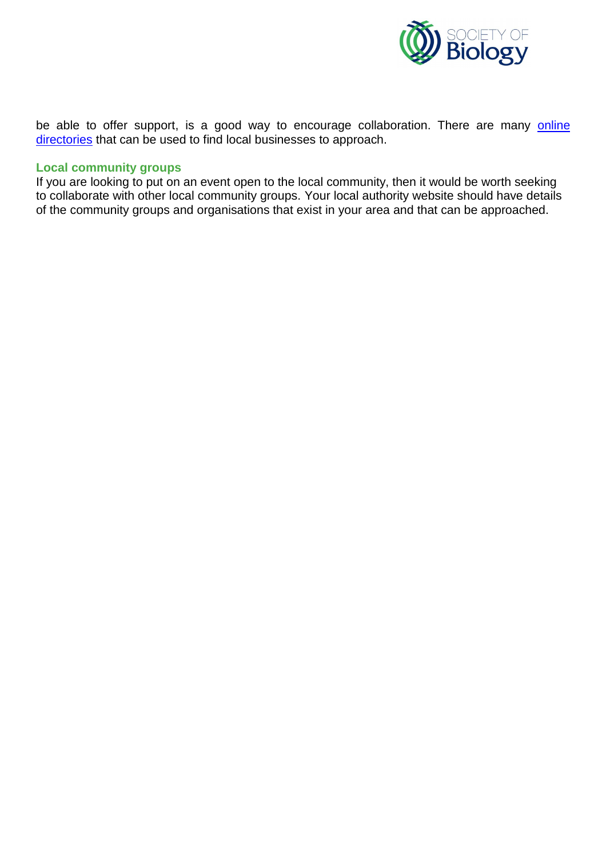

be able to offer support, is a good way to encourage collaboration. There are many **online** [directories](http://blog.hubspot.com/blog/tabid/6307/bid/10322/The-Ultimate-List-50-Local-Business-Directories.aspx) that can be used to find local businesses to approach.

## **Local community groups**

<span id="page-8-0"></span>If you are looking to put on an event open to the local community, then it would be worth seeking to collaborate with other local community groups. Your local authority website should have details of the community groups and organisations that exist in your area and that can be approached.